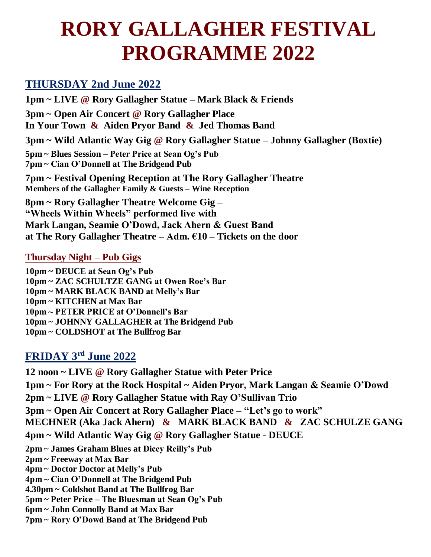# **RORY GALLAGHER FESTIVAL PROGRAMME 2022**

## **THURSDAY 2nd June 2022**

**1pm ~ LIVE @ Rory Gallagher Statue – Mark Black & Friends 3pm ~ Open Air Concert @ Rory Gallagher Place In Your Town & Aiden Pryor Band & Jed Thomas Band 3pm ~ Wild Atlantic Way Gig @ Rory Gallagher Statue – Johnny Gallagher (Boxtie) 5pm ~ Blues Session – Peter Price at Sean Og's Pub 7pm ~ Cian O'Donnell at The Bridgend Pub 7pm ~ Festival Opening Reception at The Rory Gallagher Theatre Members of the Gallagher Family & Guests – Wine Reception** 

**8pm ~ Rory Gallagher Theatre Welcome Gig – "Wheels Within Wheels" performed live with Mark Langan, Seamie O'Dowd, Jack Ahern & Guest Band at The Rory Gallagher Theatre – Adm. €10 – Tickets on the door** 

#### **Thursday Night – Pub Gigs**

**10pm ~ DEUCE at Sean Og's Pub 10pm ~ ZAC SCHULTZE GANG at Owen Roe's Bar 10pm ~ MARK BLACK BAND at Melly's Bar 10pm ~ KITCHEN at Max Bar 10pm ~ PETER PRICE at O'Donnell's Bar 10pm ~ JOHNNY GALLAGHER at The Bridgend Pub 10pm ~ COLDSHOT at The Bullfrog Bar**

## **FRIDAY 3 rd June 2022**

**12 noon ~ LIVE @ Rory Gallagher Statue with Peter Price 1pm ~ For Rory at the Rock Hospital ~ Aiden Pryor, Mark Langan & Seamie O'Dowd 2pm ~ LIVE @ Rory Gallagher Statue with Ray O'Sullivan Trio 3pm ~ Open Air Concert at Rory Gallagher Place – "Let's go to work" MECHNER (Aka Jack Ahern) & MARK BLACK BAND & ZAC SCHULZE GANG 4pm ~ Wild Atlantic Way Gig @ Rory Gallagher Statue - DEUCE 2pm ~ James Graham Blues at Dicey Reilly's Pub 2pm ~ Freeway at Max Bar 4pm ~ Doctor Doctor at Melly's Pub 4pm ~ Cian O'Donnell at The Bridgend Pub 4.30pm ~ Coldshot Band at The Bullfrog Bar 5pm ~ Peter Price – The Bluesman at Sean Og's Pub 6pm ~ John Connolly Band at Max Bar 7pm ~ Rory O'Dowd Band at The Bridgend Pub**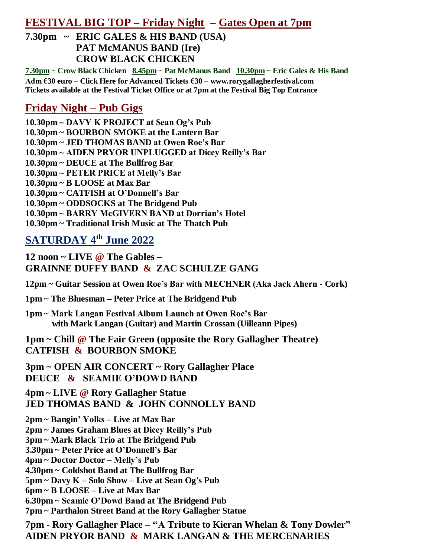### **FESTIVAL BIG TOP – Friday Night – Gates Open at 7pm**

**7.30pm ~ ERIC GALES & HIS BAND (USA) PAT McMANUS BAND (Ire) CROW BLACK CHICKEN** 

**7.30pm ~ Crow Black Chicken 8.45pm ~ Pat McManus Band 10.30pm ~ Eric Gales & His Band Adm €30 euro – Click Here for Advanced Tickets €30 – www.rorygallagherfestival.com Tickets available at the Festival Ticket Office or at 7pm at the Festival Big Top Entrance** 

### **Friday Night – Pub Gigs**

**10.30pm ~ DAVY K PROJECT at Sean Og's Pub 10.30pm ~ BOURBON SMOKE at the Lantern Bar 10.30pm ~ JED THOMAS BAND at Owen Roe's Bar 10.30pm ~ AIDEN PRYOR UNPLUGGED at Dicey Reilly's Bar 10.30pm ~ DEUCE at The Bullfrog Bar 10.30pm ~ PETER PRICE at Melly's Bar 10.30pm ~ B LOOSE at Max Bar 10.30pm ~ CATFISH at O'Donnell's Bar 10.30pm ~ ODDSOCKS at The Bridgend Pub 10.30pm ~ BARRY McGIVERN BAND at Dorrian's Hotel 10.30pm ~ Traditional Irish Music at The Thatch Pub**

## **SATURDAY 4 th June 2022**

**12 noon ~ LIVE @ The Gables – GRAINNE DUFFY BAND & ZAC SCHULZE GANG**

**12pm ~ Guitar Session at Owen Roe's Bar with MECHNER (Aka Jack Ahern - Cork)** 

**1pm ~ The Bluesman – Peter Price at The Bridgend Pub** 

**1pm ~ Mark Langan Festival Album Launch at Owen Roe's Bar with Mark Langan (Guitar) and Martin Crossan (Uilleann Pipes)**

**1pm ~ Chill @ The Fair Green (opposite the Rory Gallagher Theatre) CATFISH & BOURBON SMOKE** 

**3pm ~ OPEN AIR CONCERT ~ Rory Gallagher Place DEUCE & SEAMIE O'DOWD BAND**

**4pm ~ LIVE @ Rory Gallagher Statue JED THOMAS BAND & JOHN CONNOLLY BAND** 

**2pm ~ Bangin' Yolks – Live at Max Bar 2pm ~ James Graham Blues at Dicey Reilly's Pub** 

**3pm ~ Mark Black Trio at The Bridgend Pub** 

**3.30pm ~ Peter Price at O'Donnell's Bar** 

**4pm ~ Doctor Doctor – Melly's Pub** 

**4.30pm ~ Coldshot Band at The Bullfrog Bar** 

**5pm ~ Davy K – Solo Show – Live at Sean Og's Pub** 

**6pm ~ B LOOSE – Live at Max Bar** 

**6.30pm ~ Seamie O'Dowd Band at The Bridgend Pub**

**7pm ~ Parthalon Street Band at the Rory Gallagher Statue**

**7pm - Rory Gallagher Place – "A Tribute to Kieran Whelan & Tony Dowler" AIDEN PRYOR BAND & MARK LANGAN & THE MERCENARIES**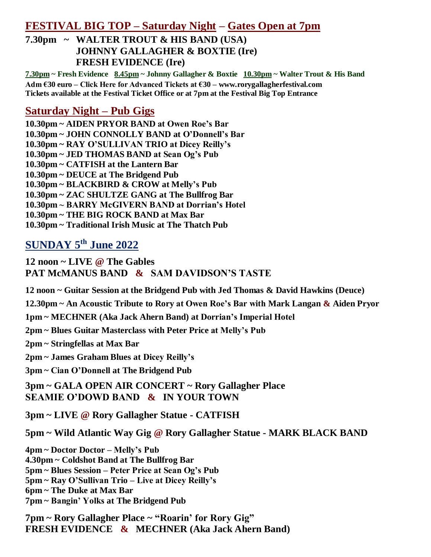#### **FESTIVAL BIG TOP – Saturday Night – Gates Open at 7pm**

**7.30pm ~ WALTER TROUT & HIS BAND (USA) JOHNNY GALLAGHER & BOXTIE (Ire) FRESH EVIDENCE (Ire)** 

**7.30pm ~ Fresh Evidence 8.45pm ~ Johnny Gallagher & Boxtie 10.30pm ~ Walter Trout & His Band Adm €30 euro – Click Here for Advanced Tickets at €30 – www.rorygallagherfestival.com Tickets available at the Festival Ticket Office or at 7pm at the Festival Big Top Entrance** 

#### **Saturday Night – Pub Gigs**

**10.30pm ~ AIDEN PRYOR BAND at Owen Roe's Bar 10.30pm ~ JOHN CONNOLLY BAND at O'Donnell's Bar 10.30pm ~ RAY O'SULLIVAN TRIO at Dicey Reilly's 10.30pm ~ JED THOMAS BAND at Sean Og's Pub 10.30pm ~ CATFISH at the Lantern Bar 10.30pm ~ DEUCE at The Bridgend Pub 10.30pm ~ BLACKBIRD & CROW at Melly's Pub 10.30pm ~ ZAC SHULTZE GANG at The Bullfrog Bar 10.30pm ~ BARRY McGIVERN BAND at Dorrian's Hotel 10.30pm ~ THE BIG ROCK BAND at Max Bar 10.30pm ~ Traditional Irish Music at The Thatch Pub**

## **SUNDAY 5 th June 2022**

**12 noon ~ LIVE @ The Gables PAT McMANUS BAND & SAM DAVIDSON'S TASTE**

**12 noon ~ Guitar Session at the Bridgend Pub with Jed Thomas & David Hawkins (Deuce)**

**12.30pm ~ An Acoustic Tribute to Rory at Owen Roe's Bar with Mark Langan & Aiden Pryor**

**1pm ~ MECHNER (Aka Jack Ahern Band) at Dorrian's Imperial Hotel**

**2pm ~ Blues Guitar Masterclass with Peter Price at Melly's Pub** 

**2pm ~ Stringfellas at Max Bar**

**2pm ~ James Graham Blues at Dicey Reilly's**

**3pm ~ Cian O'Donnell at The Bridgend Pub**

**3pm ~ GALA OPEN AIR CONCERT ~ Rory Gallagher Place SEAMIE O'DOWD BAND & IN YOUR TOWN**

**3pm ~ LIVE @ Rory Gallagher Statue - CATFISH** 

**5pm ~ Wild Atlantic Way Gig @ Rory Gallagher Statue - MARK BLACK BAND** 

**4pm ~ Doctor Doctor – Melly's Pub 4.30pm ~ Coldshot Band at The Bullfrog Bar 5pm ~ Blues Session – Peter Price at Sean Og's Pub 5pm ~ Ray O'Sullivan Trio – Live at Dicey Reilly's** 

**6pm ~ The Duke at Max Bar**

**7pm ~ Bangin' Yolks at The Bridgend Pub**

**7pm ~ Rory Gallagher Place ~ "Roarin' for Rory Gig" FRESH EVIDENCE & MECHNER (Aka Jack Ahern Band)**